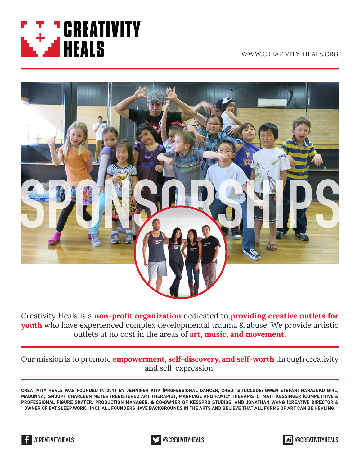

WWW.CREATIVITY-HEALS.ORG



Creativity Heals is a **non-profit organization** dedicated to **providing creative outlets for youth** who have experienced complex developmental trauma & abuse. We provide artistic outlets at no cost in the areas of **art**, music, and movement.

Our mission is to promote *empowerment*, self-discovery, and self-worth through creativity and self-expression.

**CREATIVITY HEALS WAS FOUNDED IN 2011 BY JENNIFER KITA (PROFESSIONAL DANCER, CREDITS INCLUDE: GWEN STEFANI HARAJUKU GIRL, MADONNA, SNOOP) CHARLEEN MEYER (REGISTERED ART THERAPIST, MARRIAGE AND FAMILY THERAPIST), MATT KESSINGER (COMPETITIVE & PROFESSIONAL FIGURE SKATER, PRODUCTION MANAGER, & CO-OWNER OF KESSPRO STUDIOS) AND JONATHAN WANG (CREATIVE DIRECTOR & OWNER OF EAT.SLEEP.WORK., INC). ALL FOUNDERS HAVE BACKGROUNDS IN THE ARTS AND BELIEVE THAT ALL FORMS OF ART CAN BE HEALING.** 





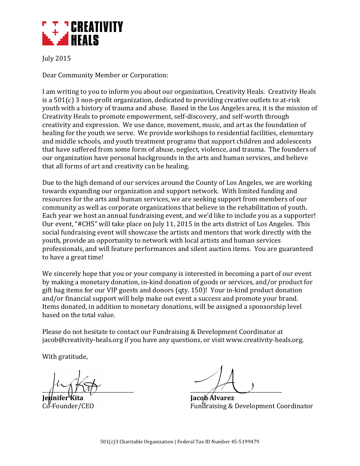

July!2015

Dear Community Member or Corporation:

I am writing to you to inform you about our organization, Creativity Heals. Creativity Heals is a  $501(c)$  3 non-profit organization, dedicated to providing creative outlets to at-risk youth with a history of trauma and abuse. Based in the Los Angeles area, it is the mission of Creativity Heals to promote empowerment, self-discovery, and self-worth through creativity and expression. We use dance, movement, music, and art as the foundation of healing for the youth we serve. We provide workshops to residential facilities, elementary and middle schools, and youth treatment programs that support children and adolescents that have suffered from some form of abuse, neglect, violence, and trauma. The founders of our organization have personal backgrounds in the arts and human services, and believe that all forms of art and creativity can be healing.

Due to the high demand of our services around the County of Los Angeles, we are working towards expanding our organization and support network. With limited funding and resources for the arts and human services, we are seeking support from members of our community as well as corporate organizations that believe in the rehabilitation of youth. Each year we host an annual fundraising event, and we'd like to include you as a supporter! Our event, "#CH5" will take place on July 11, 2015 in the arts district of Los Angeles. This social fundraising event will showcase the artists and mentors that work directly with the youth, provide an opportunity to network with local artists and human services professionals, and will feature performances and silent auction items. You are guaranteed to have a great time!

We sincerely hope that you or your company is interested in becoming a part of our event by making a monetary donation, in-kind donation of goods or services, and/or product for gift bag items for our VIP guests and donors (qty. 150)! Your in-kind product donation and/or financial support will help make out event a success and promote your brand. Items donated, in addition to monetary donations, will be assigned a sponsorship level based on the total value.

Please do not hesitate to contact our Fundraising & Development Coordinator at jacob@creativity-heals.org if you have any questions, or visit www.creativity-heals.org.

With gratitude,

 $\frac{1}{\sqrt{2}}$ 

**Jacob**<sup>A</sup>lvarez  $C_0$ -Founder/CEO Fundraising & Development Coordinator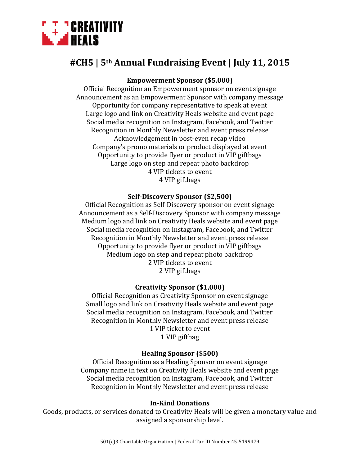

# **#CH5'|'5th Annual'Fundraising'Event'|'July 11,'2015**

## **Empowerment Sponsor (\$5,000)**

Official Recognition an Empowerment sponsor on event signage Announcement as an Empowerment Sponsor with company message Opportunity for company representative to speak at event Large logo and link on Creativity Heals website and event page Social media recognition on Instagram, Facebook, and Twitter Recognition in Monthly Newsletter and event press release Acknowledgement in post-even recap video Company's promo materials or product displayed at event Opportunity to provide flyer or product in VIP giftbags Large logo on step and repeat photo backdrop 4 VIP tickets to event 4 VIP giftbags

### **Self-Discovery Sponsor (\$2,500)**

Official Recognition as Self-Discovery sponsor on event signage Announcement as a Self-Discovery Sponsor with company message Medium logo and link on Creativity Heals website and event page Social media recognition on Instagram, Facebook, and Twitter Recognition in Monthly Newsletter and event press release Opportunity to provide flyer or product in VIP giftbags Medium logo on step and repeat photo backdrop 2 VIP tickets to event 2 VIP giftbags

#### **Creativity'Sponsor'(\$1,000)**

Official Recognition as Creativity Sponsor on event signage Small logo and link on Creativity Heals website and event page Social media recognition on Instagram, Facebook, and Twitter Recognition in Monthly Newsletter and event press release 1 VIP ticket to event 1 VIP giftbag

### **Healing'Sponsor'(\$500)**

Official Recognition as a Healing Sponsor on event signage Company name in text on Creativity Heals website and event page Social media recognition on Instagram, Facebook, and Twitter Recognition in Monthly Newsletter and event press release

#### **In-Kind Donations**

Goods, products, or services donated to Creativity Heals will be given a monetary value and assigned a sponsorship level.